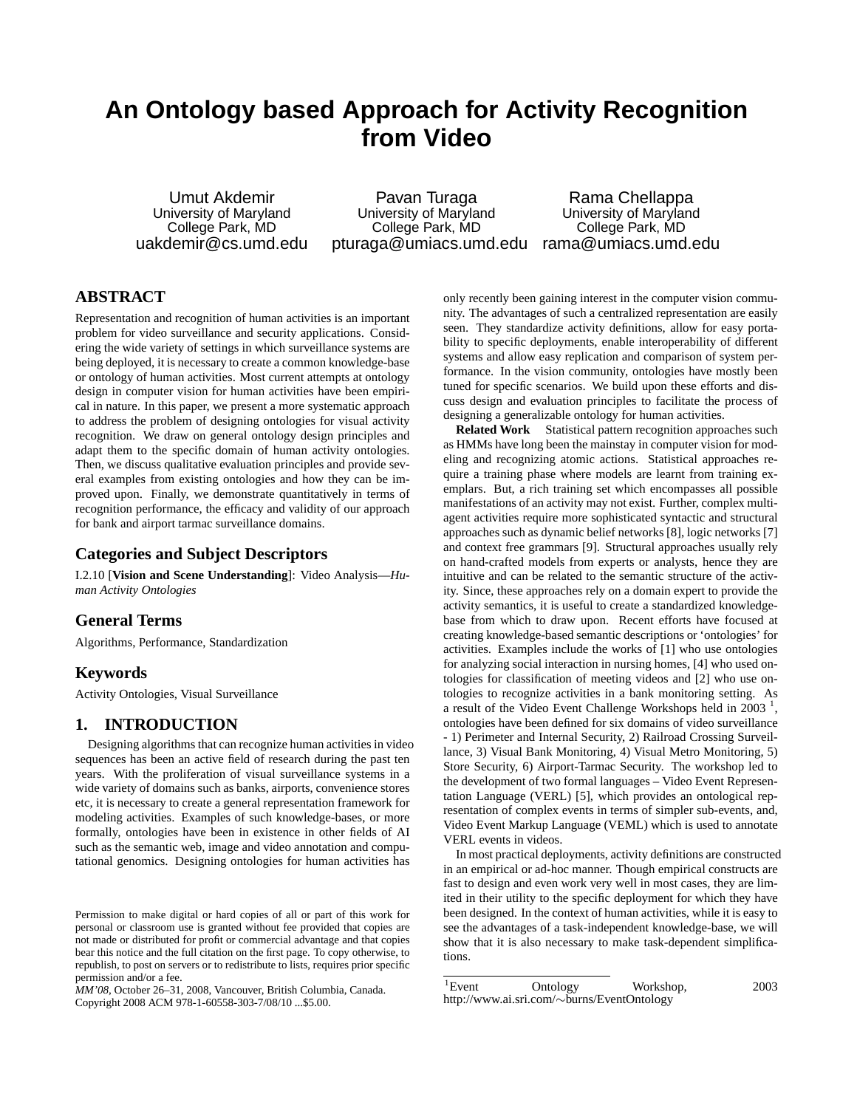# **An Ontology based Approach for Activity Recognition from Video**

Umut Akdemir University of Maryland College Park, MD uakdemir@cs.umd.edu

Pavan Turaga University of Maryland College Park, MD pturaga@umiacs.umd.edu rama@umiacs.umd.edu

Rama Chellappa University of Maryland College Park, MD

## **ABSTRACT**

Representation and recognition of human activities is an important problem for video surveillance and security applications. Considering the wide variety of settings in which surveillance systems are being deployed, it is necessary to create a common knowledge-base or ontology of human activities. Most current attempts at ontology design in computer vision for human activities have been empirical in nature. In this paper, we present a more systematic approach to address the problem of designing ontologies for visual activity recognition. We draw on general ontology design principles and adapt them to the specific domain of human activity ontologies. Then, we discuss qualitative evaluation principles and provide several examples from existing ontologies and how they can be improved upon. Finally, we demonstrate quantitatively in terms of recognition performance, the efficacy and validity of our approach for bank and airport tarmac surveillance domains.

## **Categories and Subject Descriptors**

I.2.10 [**Vision and Scene Understanding**]: Video Analysis—*Human Activity Ontologies*

### **General Terms**

Algorithms, Performance, Standardization

#### **Keywords**

Activity Ontologies, Visual Surveillance

#### **1. INTRODUCTION**

Designing algorithms that can recognize human activities in video sequences has been an active field of research during the past ten years. With the proliferation of visual surveillance systems in a wide variety of domains such as banks, airports, convenience stores etc, it is necessary to create a general representation framework for modeling activities. Examples of such knowledge-bases, or more formally, ontologies have been in existence in other fields of AI such as the semantic web, image and video annotation and computational genomics. Designing ontologies for human activities has

*MM'08,* October 26–31, 2008, Vancouver, British Columbia, Canada. Copyright 2008 ACM 978-1-60558-303-7/08/10 ...\$5.00.

only recently been gaining interest in the computer vision community. The advantages of such a centralized representation are easily seen. They standardize activity definitions, allow for easy portability to specific deployments, enable interoperability of different systems and allow easy replication and comparison of system performance. In the vision community, ontologies have mostly been tuned for specific scenarios. We build upon these efforts and discuss design and evaluation principles to facilitate the process of designing a generalizable ontology for human activities.

**Related Work** Statistical pattern recognition approaches such as HMMs have long been the mainstay in computer vision for modeling and recognizing atomic actions. Statistical approaches require a training phase where models are learnt from training exemplars. But, a rich training set which encompasses all possible manifestations of an activity may not exist. Further, complex multiagent activities require more sophisticated syntactic and structural approaches such as dynamic belief networks [8], logic networks [7] and context free grammars [9]. Structural approaches usually rely on hand-crafted models from experts or analysts, hence they are intuitive and can be related to the semantic structure of the activity. Since, these approaches rely on a domain expert to provide the activity semantics, it is useful to create a standardized knowledgebase from which to draw upon. Recent efforts have focused at creating knowledge-based semantic descriptions or 'ontologies' for activities. Examples include the works of [1] who use ontologies for analyzing social interaction in nursing homes, [4] who used ontologies for classification of meeting videos and [2] who use ontologies to recognize activities in a bank monitoring setting. As a result of the Video Event Challenge Workshops held in  $2003<sup>-1</sup>$ , ontologies have been defined for six domains of video surveillance - 1) Perimeter and Internal Security, 2) Railroad Crossing Surveil-

lance, 3) Visual Bank Monitoring, 4) Visual Metro Monitoring, 5) Store Security, 6) Airport-Tarmac Security. The workshop led to the development of two formal languages – Video Event Representation Language (VERL) [5], which provides an ontological representation of complex events in terms of simpler sub-events, and, Video Event Markup Language (VEML) which is used to annotate VERL events in videos.

In most practical deployments, activity definitions are constructed in an empirical or ad-hoc manner. Though empirical constructs are fast to design and even work very well in most cases, they are limited in their utility to the specific deployment for which they have been designed. In the context of human activities, while it is easy to see the advantages of a task-independent knowledge-base, we will show that it is also necessary to make task-dependent simplifications.

Permission to make digital or hard copies of all or part of this work for personal or classroom use is granted without fee provided that copies are not made or distributed for profit or commercial advantage and that copies bear this notice and the full citation on the first page. To copy otherwise, to republish, to post on servers or to redistribute to lists, requires prior specific permission and/or a fee.

<sup>&</sup>lt;sup>1</sup>Event Ontology Workshop, 2003 http://www.ai.sri.com/∼burns/EventOntology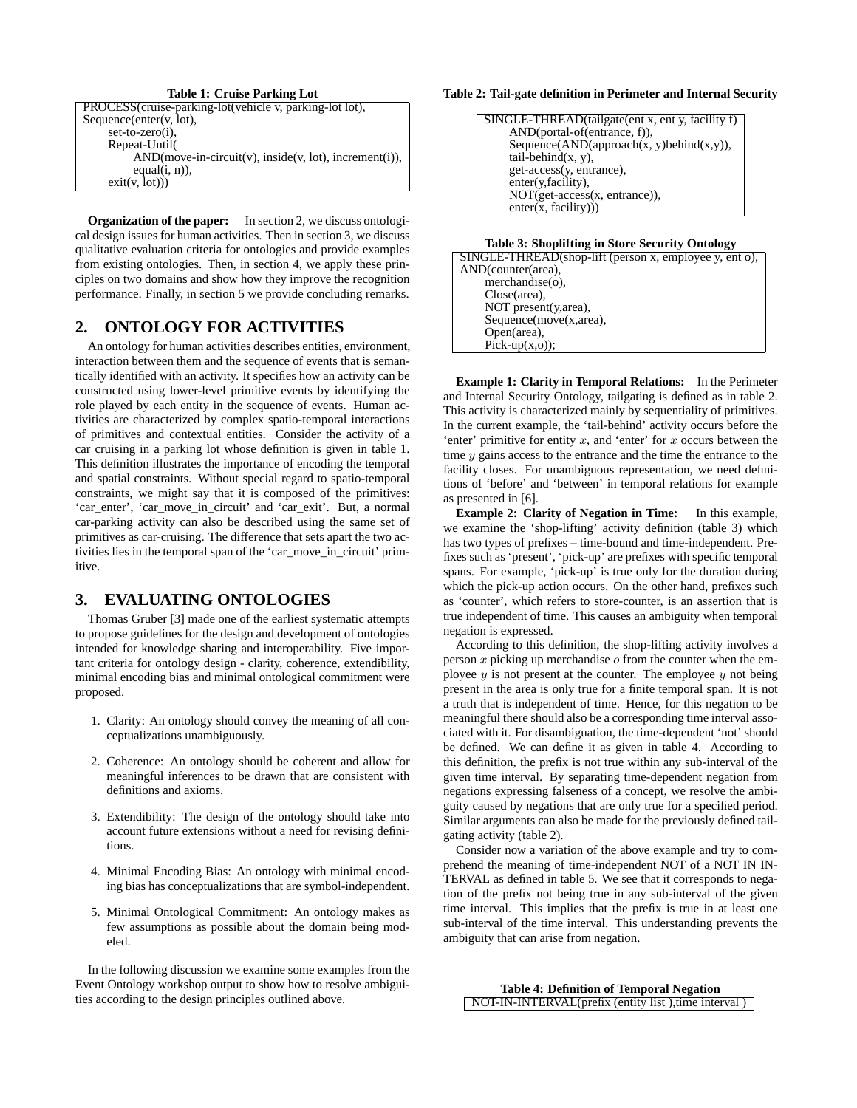#### **Table 1: Cruise Parking Lot**

| PROCESS(cruise-parking-lot(vehicle v, parking-lot lot),  |  |
|----------------------------------------------------------|--|
| Sequence(enter( $v$ , lot),                              |  |
| $set-to-zero(i)$ ,                                       |  |
| Repeat-Until                                             |  |
| $AND(move-in-circuit(v), inside(v, lot), increment(i)),$ |  |
| equal $(i, n)$ ),                                        |  |
| exit(v, lot))                                            |  |

**Organization of the paper:** In section 2, we discuss ontological design issues for human activities. Then in section 3, we discuss qualitative evaluation criteria for ontologies and provide examples from existing ontologies. Then, in section 4, we apply these principles on two domains and show how they improve the recognition performance. Finally, in section 5 we provide concluding remarks.

#### **2. ONTOLOGY FOR ACTIVITIES**

An ontology for human activities describes entities, environment, interaction between them and the sequence of events that is semantically identified with an activity. It specifies how an activity can be constructed using lower-level primitive events by identifying the role played by each entity in the sequence of events. Human activities are characterized by complex spatio-temporal interactions of primitives and contextual entities. Consider the activity of a car cruising in a parking lot whose definition is given in table 1. This definition illustrates the importance of encoding the temporal and spatial constraints. Without special regard to spatio-temporal constraints, we might say that it is composed of the primitives: 'car\_enter', 'car\_move\_in\_circuit' and 'car\_exit'. But, a normal car-parking activity can also be described using the same set of primitives as car-cruising. The difference that sets apart the two activities lies in the temporal span of the 'car\_move\_in\_circuit' primitive.

## **3. EVALUATING ONTOLOGIES**

Thomas Gruber [3] made one of the earliest systematic attempts to propose guidelines for the design and development of ontologies intended for knowledge sharing and interoperability. Five important criteria for ontology design - clarity, coherence, extendibility, minimal encoding bias and minimal ontological commitment were proposed.

- 1. Clarity: An ontology should convey the meaning of all conceptualizations unambiguously.
- 2. Coherence: An ontology should be coherent and allow for meaningful inferences to be drawn that are consistent with definitions and axioms.
- 3. Extendibility: The design of the ontology should take into account future extensions without a need for revising definitions.
- 4. Minimal Encoding Bias: An ontology with minimal encoding bias has conceptualizations that are symbol-independent.
- 5. Minimal Ontological Commitment: An ontology makes as few assumptions as possible about the domain being modeled.

In the following discussion we examine some examples from the Event Ontology workshop output to show how to resolve ambiguities according to the design principles outlined above.

#### **Table 2: Tail-gate definition in Perimeter and Internal Security**

| SINGLE-THREAD(tailgate(ent x, ent y, facility f) |
|--------------------------------------------------|
| $AND(portal-of(entrance, f)),$                   |
| Sequence(AND(approach(x, y)behind(x,y)),         |
| $tail\text{-}behind(x, y)$ ,                     |
| get-access(y, entrance),                         |
| enter(y,facility),                               |
| NOT(get-access(x, entrance)),                    |
| enter(x, facility))                              |
|                                                  |

#### **Table 3: Shoplifting in Store Security Ontology**

| SINGLE-THREAD(shop-lift (person x, employee y, ent o), |
|--------------------------------------------------------|
| AND(counter(area),                                     |
| $merchandise(o)$ ,                                     |
| $Close(area)$ ,                                        |
| NOT present(y, area),                                  |
| Sequence(move(x, area),                                |
| Open(area),                                            |
| $Pick-up(x, o);$                                       |
|                                                        |

**Example 1: Clarity in Temporal Relations:** In the Perimeter and Internal Security Ontology, tailgating is defined as in table 2. This activity is characterized mainly by sequentiality of primitives. In the current example, the 'tail-behind' activity occurs before the 'enter' primitive for entity  $x$ , and 'enter' for  $x$  occurs between the time  $y$  gains access to the entrance and the time the entrance to the facility closes. For unambiguous representation, we need definitions of 'before' and 'between' in temporal relations for example as presented in [6].

**Example 2: Clarity of Negation in Time:** In this example, we examine the 'shop-lifting' activity definition (table 3) which has two types of prefixes – time-bound and time-independent. Prefixes such as 'present', 'pick-up' are prefixes with specific temporal spans. For example, 'pick-up' is true only for the duration during which the pick-up action occurs. On the other hand, prefixes such as 'counter', which refers to store-counter, is an assertion that is true independent of time. This causes an ambiguity when temporal negation is expressed.

According to this definition, the shop-lifting activity involves a person  $x$  picking up merchandise  $o$  from the counter when the employee  $y$  is not present at the counter. The employee  $y$  not being present in the area is only true for a finite temporal span. It is not a truth that is independent of time. Hence, for this negation to be meaningful there should also be a corresponding time interval associated with it. For disambiguation, the time-dependent 'not' should be defined. We can define it as given in table 4. According to this definition, the prefix is not true within any sub-interval of the given time interval. By separating time-dependent negation from negations expressing falseness of a concept, we resolve the ambiguity caused by negations that are only true for a specified period. Similar arguments can also be made for the previously defined tailgating activity (table 2).

Consider now a variation of the above example and try to comprehend the meaning of time-independent NOT of a NOT IN IN-TERVAL as defined in table 5. We see that it corresponds to negation of the prefix not being true in any sub-interval of the given time interval. This implies that the prefix is true in at least one sub-interval of the time interval. This understanding prevents the ambiguity that can arise from negation.

**Table 4: Definition of Temporal Negation** NOT-IN-INTERVAL(prefix (entity list ),time interval )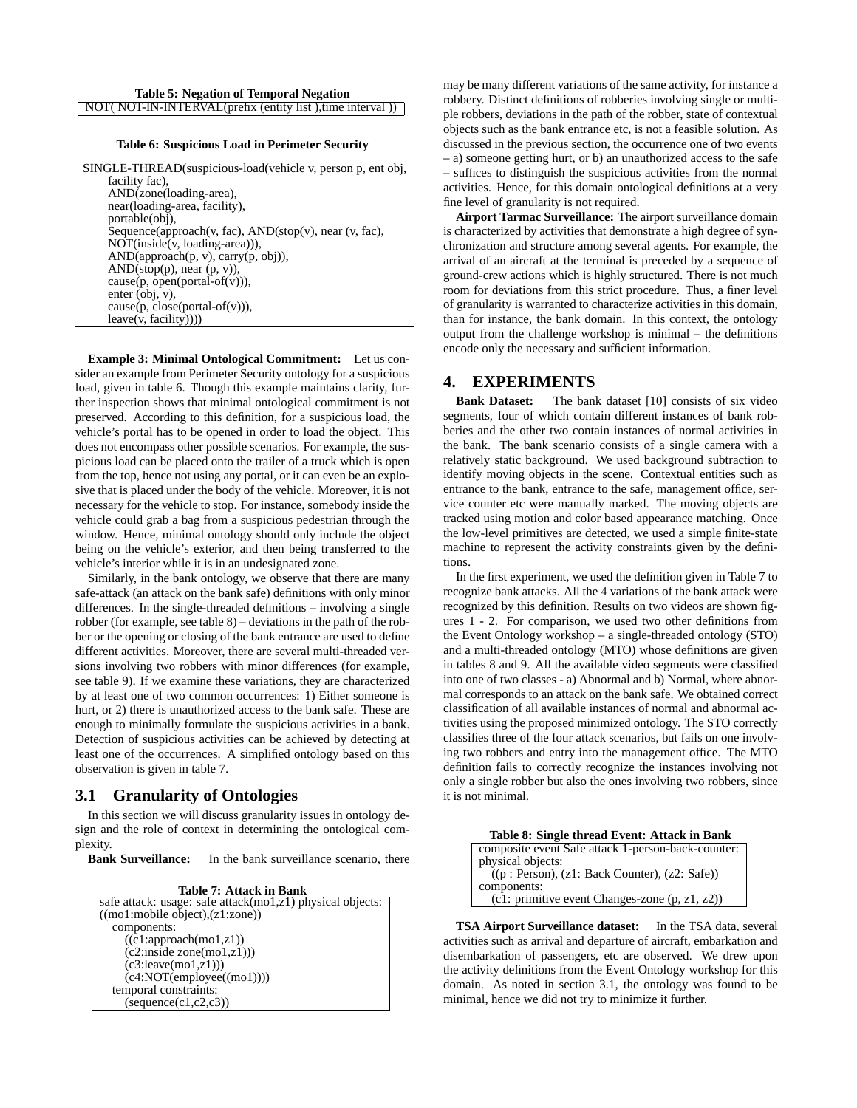#### **Table 6: Suspicious Load in Perimeter Security**

| SINGLE-THREAD(suspicious-load(vehicle v, person p, ent obj,       |
|-------------------------------------------------------------------|
| facility fac).                                                    |
| AND(zone(loading-area),                                           |
| near(loading-area, facility),                                     |
| portable(obj),                                                    |
| Sequence(approach(v, fac), $AND(\text{stop}(v))$ , near (v, fac), |
| $NOT (inside(v, loading-area)),$                                  |
| AND(approach(p, v), carry(p, obj)),                               |
| $AND(\text{stop}(p), near (p, v)),$                               |
| $cause(p, open(portal-off(v))),$                                  |
| enter (obj. v).                                                   |
| $cause(p, close(portal-off(v))),$                                 |
| leave(v, facility)))                                              |

**Example 3: Minimal Ontological Commitment:** Let us consider an example from Perimeter Security ontology for a suspicious load, given in table 6. Though this example maintains clarity, further inspection shows that minimal ontological commitment is not preserved. According to this definition, for a suspicious load, the vehicle's portal has to be opened in order to load the object. This does not encompass other possible scenarios. For example, the suspicious load can be placed onto the trailer of a truck which is open from the top, hence not using any portal, or it can even be an explosive that is placed under the body of the vehicle. Moreover, it is not necessary for the vehicle to stop. For instance, somebody inside the vehicle could grab a bag from a suspicious pedestrian through the window. Hence, minimal ontology should only include the object being on the vehicle's exterior, and then being transferred to the vehicle's interior while it is in an undesignated zone.

Similarly, in the bank ontology, we observe that there are many safe-attack (an attack on the bank safe) definitions with only minor differences. In the single-threaded definitions – involving a single robber (for example, see table 8) – deviations in the path of the robber or the opening or closing of the bank entrance are used to define different activities. Moreover, there are several multi-threaded versions involving two robbers with minor differences (for example, see table 9). If we examine these variations, they are characterized by at least one of two common occurrences: 1) Either someone is hurt, or 2) there is unauthorized access to the bank safe. These are enough to minimally formulate the suspicious activities in a bank. Detection of suspicious activities can be achieved by detecting at least one of the occurrences. A simplified ontology based on this observation is given in table 7.

#### **3.1 Granularity of Ontologies**

In this section we will discuss granularity issues in ontology design and the role of context in determining the ontological complexity.

**Bank Surveillance:** In the bank surveillance scenario, there

**Table 7: Attack in Bank**

may be many different variations of the same activity, for instance a robbery. Distinct definitions of robberies involving single or multiple robbers, deviations in the path of the robber, state of contextual objects such as the bank entrance etc, is not a feasible solution. As discussed in the previous section, the occurrence one of two events – a) someone getting hurt, or b) an unauthorized access to the safe – suffices to distinguish the suspicious activities from the normal activities. Hence, for this domain ontological definitions at a very fine level of granularity is not required.

**Airport Tarmac Surveillance:** The airport surveillance domain is characterized by activities that demonstrate a high degree of synchronization and structure among several agents. For example, the arrival of an aircraft at the terminal is preceded by a sequence of ground-crew actions which is highly structured. There is not much room for deviations from this strict procedure. Thus, a finer level of granularity is warranted to characterize activities in this domain, than for instance, the bank domain. In this context, the ontology output from the challenge workshop is minimal – the definitions encode only the necessary and sufficient information.

#### **4. EXPERIMENTS**

**Bank Dataset:** The bank dataset [10] consists of six video segments, four of which contain different instances of bank robberies and the other two contain instances of normal activities in the bank. The bank scenario consists of a single camera with a relatively static background. We used background subtraction to identify moving objects in the scene. Contextual entities such as entrance to the bank, entrance to the safe, management office, service counter etc were manually marked. The moving objects are tracked using motion and color based appearance matching. Once the low-level primitives are detected, we used a simple finite-state machine to represent the activity constraints given by the definitions.

In the first experiment, we used the definition given in Table 7 to recognize bank attacks. All the 4 variations of the bank attack were recognized by this definition. Results on two videos are shown figures 1 - 2. For comparison, we used two other definitions from the Event Ontology workshop – a single-threaded ontology (STO) and a multi-threaded ontology (MTO) whose definitions are given in tables 8 and 9. All the available video segments were classified into one of two classes - a) Abnormal and b) Normal, where abnormal corresponds to an attack on the bank safe. We obtained correct classification of all available instances of normal and abnormal activities using the proposed minimized ontology. The STO correctly classifies three of the four attack scenarios, but fails on one involving two robbers and entry into the management office. The MTO definition fails to correctly recognize the instances involving not only a single robber but also the ones involving two robbers, since it is not minimal.

| Table 8: Single thread Event: Attack in Bank       |
|----------------------------------------------------|
| composite event Safe attack 1-person-back-counter: |
| physical objects:                                  |
| $((p: Person), (z1: Back Counter), (z2: Safe))$    |
| components:                                        |
| (c1: primitive event Changes-zone (p, z1, z2))     |

**TSA Airport Surveillance dataset:** In the TSA data, several activities such as arrival and departure of aircraft, embarkation and disembarkation of passengers, etc are observed. We drew upon the activity definitions from the Event Ontology workshop for this domain. As noted in section 3.1, the ontology was found to be minimal, hence we did not try to minimize it further.